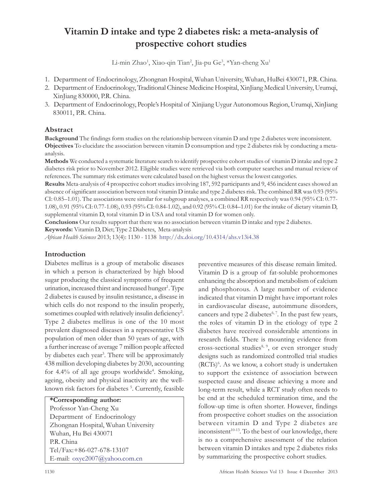# Vitamin D intake and type 2 diabetes risk: a meta-analysis of prospective cohort studies

Li-min Zhao<sup>1</sup>, Xiao-qin Tian<sup>2</sup>, Jia-pu Ge<sup>3</sup>, \*Yan-cheng Xu<sup>1</sup>

- 1. Department of Endocrinology, Zhongnan Hospital, Wuhan University, Wuhan, HuBei 430071, P.R. China.
- 2. Department of Endocrinology, Traditional Chinese Medicine Hospital, XinJiang Medical University, Urumqi, XinJiang 830000, P.R. China.
- 3. Department of Endocrinology, People's Hospital of Xinjiang Uygur Autonomous Region, Urumqi, XinJiang 830011, P.R. China.

### Abstract

Background The findings form studies on the relationship between vitamin D and type 2 diabetes were inconsistent. Objectives To elucidate the association between vitamin D consumption and type 2 diabetes risk by conducting a metaanalysis.

Methods We conducted a systematic literature search to identify prospective cohort studies of vitamin D intake and type 2 diabetes risk prior to November 2012. Eligible studies were retrieved via both computer searches and manual review of references. The summary risk estimates were calculated based on the highest versus the lowest categories.

Results Meta-analysis of 4 prospective cohort studies involving 187, 592 participants and 9, 456 incident cases showed an absence of significant association between total vitamin D intake and type 2 diabetes risk. The combined RR was 0.93 (95% CI: 0.85–1.01). The associations were similar for subgroup analyses, a combined RR respectively was 0.94 (95% CI: 0.77- 1.08), 0.91 (95% CI: 0.77-1.08), 0.93 (95% CI: 0.84-1.02), and 0.92 (95% CI: 0.84–1.01) for the intake of dietary vitamin D, supplemental vitamin D, total vitamin D in USA and total vitamin D for women only.

Conclusions Our results support that there was no association between vitamin D intake and type 2 diabetes.

Keywords: Vitamin D, Diet; Type 2 Diabetes, Meta-analysis

African Health Sciences 2013; 13(4): 1130 - 1138 http://dx.doi.org/10.4314/ahs.v13i4.38

# Introduction

Diabetes mellitus is a group of metabolic diseases in which a person is characterized by high blood sugar producing the classical symptoms of frequent urination, increased thirst and increased hunger<sup>1</sup>. Type 2 diabetes is caused by insulin resistance, a disease in which cells do not respond to the insulin properly, sometimes coupled with relatively insulin deficiency<sup>2</sup>. Type 2 diabetes mellitus is one of the 10 most prevalent diagnosed diseases in a representative US population of men older than 50 years of age, with a further increase of average 7 million people affected by diabetes each year<sup>3</sup>. There will be approximately 438 million developing diabetes by 2030, accounting for 4.4% of all age groups worldwide<sup>4</sup>. Smoking, ageing, obesity and physical inactivity are the wellknown risk factors for diabetes<sup>5</sup>. Currently, feasible

#### \*Corresponding author:

Professor Yan-Cheng Xu Department of Endocrinology Zhongnan Hospital, Wuhan University Wuhan, Hu Bei 430071 P.R. China Tel/Fax:+86-027-678-13107 E-mail: oxyc2007@yahoo.com.cn

preventive measures of this disease remain limited. Vitamin D is a group of fat-soluble prohormones enhancing the absorption and metabolism of calcium and phosphorous. A large number of evidence indicated that vitamin D might have important roles in cardiovascular disease, autoimmune disorders, cancers and type 2 diabetes $6, 7$ . In the past few years, the roles of vitamin D in the etiology of type 2 diabetes have received considerable attentions in research fields. There is mounting evidence from cross-sectional studies<sup>8, 9</sup>, or even stronger study designs such as randomized controlled trial studies (RCTs)<sup>6</sup> . As we know, a cohort study is undertaken to support the existence of association between suspected cause and disease achieving a more and long-term result, while a RCT study often needs to be end at the scheduled termination time, and the follow-up time is often shorter. However, findings from prospective cohort studies on the association between vitamin D and Type 2 diabetes are inconsistent<sup>10-13</sup>. To the best of our knowledge, there is no a comprehensive assessment of the relation between vitamin D intakes and type 2 diabetes risks by summarizing the prospective cohort studies.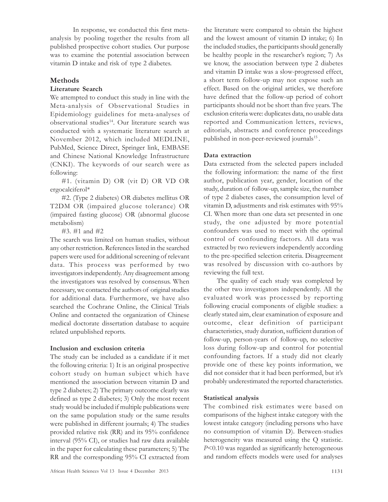In response, we conducted this first metaanalysis by pooling together the results from all published prospective cohort studies. Our purpose was to examine the potential association between vitamin D intake and risk of type 2 diabetes.

# Methods

### Literature Search

We attempted to conduct this study in line with the Meta-analysis of Observational Studies in Epidemiology guidelines for meta-analyses of observational studies<sup>14</sup>. Our literature search was conducted with a systematic literature search at November 2012, which included MEDLINE, PubMed, Science Direct, Springer link, EMBASE and Chinese National Knowledge Infrastructure (CNKI). The keywords of our search were as following:

#1. (vitamin D) OR (vit D) OR VD OR ergocalciferol\*

#2. (Type 2 diabetes) OR diabetes mellitus OR T2DM OR (impaired glucose tolerance) OR (impaired fasting glucose) OR (abnormal glucose metabolism)

#3. #1 and #2

The search was limited on human studies, without any other restriction. References listed in the searched papers were used for additional screening of relevant data. This process was performed by two investigators independently. Any disagreement among the investigators was resolved by consensus. When necessary, we contacted the authors of original studies for additional data. Furthermore, we have also searched the Cochrane Online, the Clinical Trials Online and contacted the organization of Chinese medical doctorate dissertation database to acquire related unpublished reports.

### Inclusion and exclusion criteria

The study can be included as a candidate if it met the following criteria: 1) It is an original prospective cohort study on human subject which have mentioned the association between vitamin D and type 2 diabetes; 2) The primary outcome clearly was defined as type 2 diabetes; 3) Only the most recent study would be included if multiple publications were on the same population study or the same results were published in different journals; 4) The studies provided relative risk (RR) and its 95% confidence interval (95% CI), or studies had raw data available in the paper for calculating these parameters; 5) The RR and the corresponding 95% CI extracted from and the lowest amount of vitamin D intake; 6) In the included studies, the participants should generally be healthy people in the researcher's region; 7) As we know, the association between type 2 diabetes and vitamin D intake was a slow-progressed effect, a short term follow-up may not expose such an effect. Based on the original articles, we therefore have defined that the follow-up period of cohort participants should not be short than five years. The exclusion criteria were: duplicates data, no usable data reported and Communication letters, reviews, editorials, abstracts and conference proceedings published in non-peer-reviewed journals<sup>15</sup>.

the literature were compared to obtain the highest

# Data extraction

Data extracted from the selected papers included the following information: the name of the first author, publication year, gender, location of the study, duration of follow-up, sample size, the number of type 2 diabetes cases, the consumption level of vitamin D, adjustments and risk estimates with 95% CI. When more than one data set presented in one study, the one adjusted by more potential confounders was used to meet with the optimal control of confounding factors. All data was extracted by two reviewers independently according to the pre-specified selection criteria. Disagreement was resolved by discussion with co-authors by reviewing the full text.

The quality of each study was completed by the other two investigators independently. All the evaluated work was processed by reporting following crucial components of eligible studies: a clearly stated aim, clear examination of exposure and outcome, clear definition of participant characteristics, study duration, sufficient duration of follow-up, person-years of follow-up, no selective loss during follow-up and control for potential confounding factors. If a study did not clearly provide one of these key points information, we did not consider that it had been performed, but it's probably underestimated the reported characteristics.

# Statistical analysis

The combined risk estimates were based on comparisons of the highest intake category with the lowest intake category (including persons who have no consumption of vitamin D). Between-studies heterogeneity was measured using the Q statistic. P<0.10 was regarded as significantly heterogeneous and random effects models were used for analyses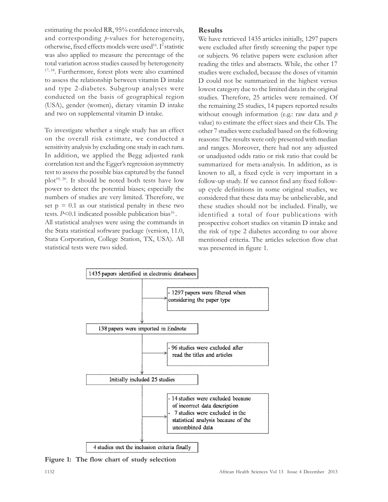estimating the pooled RR, 95% confidence intervals, and corresponding p-values for heterogeneity, otherwise, fixed effects models were used<sup>16</sup>. I<sup>2</sup> statistic was also applied to measure the percentage of the total variation across studies caused by heterogeneity 17, 18 . Furthermore, forest plots were also examined to assess the relationship between vitamin D intake and type 2-diabetes. Subgroup analyses were conducted on the basis of geographical region (USA), gender (women), dietary vitamin D intake and two on supplemental vitamin D intake.

To investigate whether a single study has an effect on the overall risk estimate, we conducted a sensitivity analysis by excluding one study in each turn. In addition, we applied the Begg adjusted rank correlation test and the Egger's regression asymmetry test to assess the possible bias captured by the funnel plot<sup>19, 20</sup>. It should be noted both tests have low power to detect the potential biases; especially the numbers of studies are very limited. Therefore, we set  $p = 0.1$  as our statistical penalty in these two tests.  $P<0.1$  indicated possible publication bias<sup>16</sup>. All statistical analyses were using the commands in the Stata statistical software package (version, 11.0, Stata Corporation, College Station, TX, USA). All statistical tests were two sided.

### Results

We have retrieved 1435 articles initially, 1297 papers were excluded after firstly screening the paper type or subjects. 96 relative papers were exclusion after reading the titles and abstracts. While, the other 17 studies were excluded, because the doses of vitamin D could not be summarized in the highest versus lowest category due to the limited data in the original studies. Therefore, 25 articles were remained. Of the remaining 25 studies, 14 papers reported results without enough information (e.g.: raw data and  $p$ value) to estimate the effect sizes and their CIs. The other 7 studies were excluded based on the following reasons: The results were only presented with median and ranges. Moreover, there had not any adjusted or unadjusted odds ratio or risk ratio that could be summarized for meta-analysis. In addition, as is known to all, a fixed cycle is very important in a follow-up study. If we cannot find any fixed followup cycle definitions in some original studies, we considered that these data may be unbelievable, and these studies should not be included. Finally, we identified a total of four publications with prospective cohort studies on vitamin D intake and the risk of type 2 diabetes according to our above mentioned criteria. The articles selection flow chat was presented in figure 1.



Figure 1: The flow chart of study selection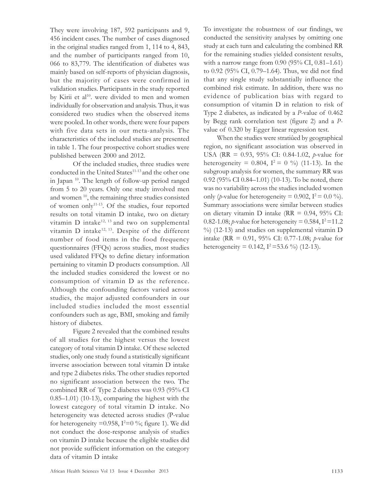They were involving 187, 592 participants and 9, 456 incident cases. The number of cases diagnosed in the original studies ranged from 1, 114 to 4, 843, and the number of participants ranged from 10, 066 to 83,779. The identification of diabetes was mainly based on self-reports of physician diagnosis, but the majority of cases were confirmed in validation studies. Participants in the study reported by Kirii et al<sup>10</sup>. were divided to men and women individually for observation and analysis. Thus, it was considered two studies when the observed items were pooled. In other words, there were four papers with five data sets in our meta-analysis. The characteristics of the included studies are presented in table 1. The four prospective cohort studies were published between 2000 and 2012.

Of the included studies, three studies were conducted in the United States<sup>11-13</sup> and the other one in Japan <sup>10</sup>. The length of follow-up period ranged from 5 to 20 years. Only one study involved men and women<sup>10</sup>, the remaining three studies consisted of women only11-13. Of the studies, four reported results on total vitamin D intake, two on dietary vitamin  $D$  intake<sup>12, 13</sup> and two on supplemental vitamin D intake<sup>12, 13</sup>. Despite of the different number of food items in the food frequency questionnaires (FFQs) across studies, most studies used validated FFQs to define dietary information pertaining to vitamin D products consumption. All the included studies considered the lowest or no consumption of vitamin D as the reference. Although the confounding factors varied across studies, the major adjusted confounders in our included studies included the most essential confounders such as age, BMI, smoking and family history of diabetes.

Figure 2 revealed that the combined results of all studies for the highest versus the lowest category of total vitamin D intake. Of these selected studies, only one study found a statistically significant inverse association between total vitamin D intake and type 2 diabetes risks. The other studies reported no significant association between the two. The combined RR of Type 2 diabetes was 0.93 (95% CI 0.85–1.01) (10-13), comparing the highest with the lowest category of total vitamin D intake. No heterogeneity was detected across studies (P-value for heterogeneity =0.958,  $I^2=0\%$ ; figure 1). We did not conduct the dose-response analysis of studies on vitamin D intake because the eligible studies did not provide sufficient information on the category data of vitamin D intake

To investigate the robustness of our findings, we conducted the sensitivity analyses by omitting one study at each turn and calculating the combined RR for the remaining studies yielded consistent results, with a narrow range from 0.90 (95% CI, 0.81–1.61) to 0.92 (95% CI, 0.79–1.64). Thus, we did not find that any single study substantially influence the combined risk estimate. In addition, there was no evidence of publication bias with regard to consumption of vitamin D in relation to risk of Type 2 diabetes, as indicated by a P-value of 0.462 by Begg rank correlation test (figure 2) and a Pvalue of 0.320 by Egger linear regression test.

When the studies were stratiûed by geographical region, no significant association was observed in USA (RR = 0.93, 95% CI: 0.84-1.02, *p*-value for heterogeneity = 0.804,  $I^2 = 0$  %) (11-13). In the subgroup analysis for women, the summary RR was 0.92 (95% CI 0.84–1.01) (10-13). To be noted, there was no variability across the studies included women only (*p*-value for heterogeneity =  $0.902$ ,  $I^2 = 0.0 \%$ ). Summary associations were similar between studies on dietary vitamin D intake ( $RR = 0.94$ ,  $95\%$  CI: 0.82-1.08; *p*-value for heterogeneity = 0.584,  $I^2$ =11.2 %) (12-13) and studies on supplemental vitamin D intake (RR =  $0.91$ ,  $95\%$  CI:  $0.77-1.08$ ; *p*-value for heterogeneity =  $0.142$ ,  $I^2 = 53.6$  %) (12-13).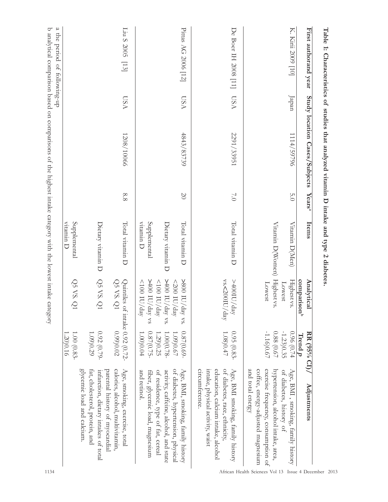| First authorand year |             | Study location Cases/Subjects | Years <sup>a</sup> | Items                                                             | Analytica                                                                                                                | RR (95% CI)/                                                                        | Adjustments                                                                                                                                                                                                |
|----------------------|-------------|-------------------------------|--------------------|-------------------------------------------------------------------|--------------------------------------------------------------------------------------------------------------------------|-------------------------------------------------------------------------------------|------------------------------------------------------------------------------------------------------------------------------------------------------------------------------------------------------------|
|                      |             |                               |                    |                                                                   | comparison <sup>b</sup>                                                                                                  | Trend $p$                                                                           |                                                                                                                                                                                                            |
| K. Kirii 2009 [10]   | Japan       | 114/59790                     | 0.0                | Vitamin D(Men)                                                    | Highest vs.<br>Lowest                                                                                                    | 0.96 (0.74<br>$-1.23)0.35$                                                          | Age, BMI , smoking, family history<br>of diabetes, history of                                                                                                                                              |
|                      |             |                               |                    | Vitamin D(Women)                                                  | Highest vs.<br>Lowest                                                                                                    | $-1.1600.67$<br>0.88(0.67)                                                          | and total energy<br>cottee, energy-adjusted magnesium<br>exercise frequency, consumption of<br>hypertension, alcohol intake, area,                                                                         |
| De Boer IH 2008 [11] | VSN         | 2291/33951                    | $\sqrt{0}$         | Total vitamin D                                                   | vs.<200IU/day<br>>400IU/day                                                                                              | 1.080.47<br>$0.95(0.83 -$                                                           | of diabetes, race, ethnicity,<br>education, calcium intake, alcohol<br>Age, BMI smoking, family history<br><i>circumference</i> .<br>intake, physical activity, waist                                      |
| Pittas AG 2006 [12]  | <b>LSSA</b> | 4843/83739                    | $\infty$           | Supplemental<br>vitamin D<br>Dietary vitamin D<br>Total vitamin D | $>400$ IU/day vs.<br>>800 IU/day vs.<br>$>400$ IU/day vs<br>$<100\,$ IU/day<br>$<$ 200 IU/day<br>$\sqrt{100}$ DD/<br>day | 0.87(0.69)<br>$0.87(0.75 -$<br>$1.00(0.78 -$<br>1.090.67<br>1.00)0.04<br>1.29) 0.25 | Age, BMI, smoking, family history<br>of diabetes, hypertension, physical<br>and retinol.<br>of residence, type of fat, cereal<br>activity, caffeine, alcohol, and state<br>tiber, glycemic load, magnesium |
| Liu S 2005 [13]      | <b>LSSA</b> | 1208/10066                    | 8.8                | Total vitamin D                                                   | QSVS<br>Quintiles of intake $0.92(0.72)$                                                                                 | 0.990.02                                                                            | calories, alcohol, multivitamin,<br>Age, smoking, exercise, total<br>parental history of myocardial                                                                                                        |
|                      |             |                               |                    | Dietary vitamin D                                                 | Q5 VS. Q                                                                                                                 | $\begin{array}{c} 0.92\ (0.79- \\ 1.09) 0.29 \end{array}$                           | glycemic load and calcium.<br>fat, cholesterol, protein, and<br>infarction, dietary intakes of total                                                                                                       |
|                      |             |                               |                    | Supplemental<br>vitamin D                                         | QSVSQ                                                                                                                    | 1.20)0.16<br>1.00 (0.83-                                                            |                                                                                                                                                                                                            |

b analytical comparison based on comparisons of the highest intake category with the lowest intake category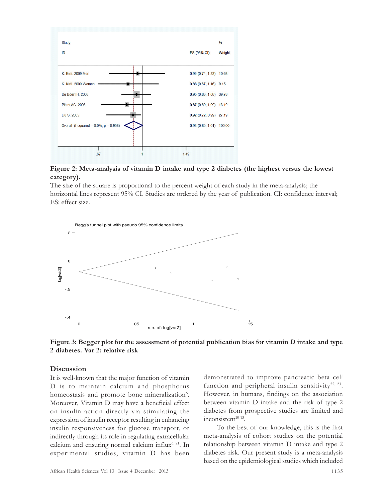

Figure 2: Meta-analysis of vitamin D intake and type 2 diabetes (the highest versus the lowest category).

The size of the square is proportional to the percent weight of each study in the meta-analysis; the horizontal lines represent 95% CI. Studies are ordered by the year of publication. CI: confidence interval; ES: effect size.



Figure 3: Begger plot for the assessment of potential publication bias for vitamin D intake and type 2 diabetes. Var 2: relative risk

#### **Discussion**

It is well-known that the major function of vitamin D is to maintain calcium and phosphorus homeostasis and promote bone mineralization<sup>6</sup>. Moreover, Vitamin D may have a beneficial effect on insulin action directly via stimulating the expression of insulin receptor resulting in enhancing insulin responsiveness for glucose transport, or indirectly through its role in regulating extracellular calcium and ensuring normal calcium influx<sup>6, 21</sup>. In experimental studies, vitamin D has been demonstrated to improve pancreatic beta cell function and peripheral insulin sensitivity<sup>22, 23</sup>. However, in humans, findings on the association between vitamin D intake and the risk of type 2 diabetes from prospective studies are limited and  $\text{inconsistent}^{\text{10-13}}$ .

To the best of our knowledge, this is the first meta-analysis of cohort studies on the potential relationship between vitamin D intake and type 2 diabetes risk. Our present study is a meta-analysis based on the epidemiological studies which included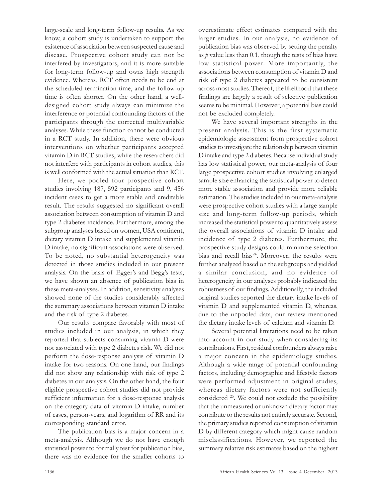large-scale and long-term follow-up results. As we know, a cohort study is undertaken to support the existence of association between suspected cause and disease. Prospective cohort study can not be interfered by investigators, and it is more suitable for long-term follow-up and owns high strength evidence. Whereas, RCT often needs to be end at the scheduled termination time, and the follow-up time is often shorter. On the other hand, a welldesigned cohort study always can minimize the interference or potential confounding factors of the participants through the corrected multivariable analyses. While these function cannot be conducted in a RCT study. In addition, there were obvious interventions on whether participants accepted vitamin D in RCT studies, while the researchers did not interfere with participants in cohort studies, this is well conformed with the actual situation than RCT.

Here, we pooled four prospective cohort studies involving 187, 592 participants and 9, 456 incident cases to get a more stable and creditable result. The results suggested no significant overall association between consumption of vitamin D and type 2 diabetes incidence. Furthermore, among the subgroup analyses based on women, USA continent, dietary vitamin D intake and supplemental vitamin D intake, no significant associations were observed. To be noted, no substantial heterogeneity was detected in those studies included in our present analysis. On the basis of Egger's and Begg's tests, we have shown an absence of publication bias in these meta-analyses. In addition, sensitivity analyses showed none of the studies considerably affected the summary associations between vitamin D intake and the risk of type 2 diabetes.

Our results compare favorably with most of studies included in our analysis, in which they reported that subjects consuming vitamin D were not associated with type 2 diabetes risk. We did not perform the dose-response analysis of vitamin D intake for two reasons. On one hand, our findings did not show any relationship with risk of type 2 diabetes in our analysis. On the other hand, the four eligible prospective cohort studies did not provide sufficient information for a dose-response analysis on the category data of vitamin D intake, number of cases, person-years, and logarithm of RR and its corresponding standard error.

The publication bias is a major concern in a meta-analysis. Although we do not have enough statistical power to formally test for publication bias, there was no evidence for the smaller cohorts to overestimate effect estimates compared with the larger studies. In our analysis, no evidence of publication bias was observed by setting the penalty as  $p$  value less than 0.1, though the tests of bias have low statistical power. More importantly, the associations between consumption of vitamin D and risk of type 2 diabetes appeared to be consistent across most studies. Thereof, the likelihood that these findings are largely a result of selective publication seems to be minimal. However, a potential bias could not be excluded completely.

We have several important strengths in the present analysis. This is the first systematic epidemiologic assessment from prospective cohort studies to investigate the relationship between vitamin D intake and type 2 diabetes. Because individual study has low statistical power, our meta-analysis of four large prospective cohort studies involving enlarged sample size enhancing the statistical power to detect more stable association and provide more reliable estimation. The studies included in our meta-analysis were prospective cohort studies with a large sample size and long-term follow-up periods, which increased the statistical power to quantitatively assess the overall associations of vitamin D intake and incidence of type 2 diabetes. Furthermore, the prospective study designs could minimize selection bias and recall bias<sup>24</sup>. Moreover, the results were further analyzed based on the subgroups and yielded a similar conclusion, and no evidence of heterogeneity in our analyses probably indicated the robustness of our findings. Additionally, the included original studies reported the dietary intake levels of vitamin D and supplemented vitamin D, whereas, due to the unpooled data, our review mentioned the dietary intake levels of calcium and vitamin D.

Several potential limitations need to be taken into account in our study when considering its contributions. First, residual confounders always raise a major concern in the epidemiology studies. Although a wide range of potential confounding factors, including demographic and lifestyle factors were performed adjustment in original studies, whereas dietary factors were not sufficiently considered <sup>25</sup>. We could not exclude the possibility that the unmeasured or unknown dietary factor may contribute to the results not entirely accurate. Second, the primary studies reported consumption of vitamin D by different category which might cause random misclassifications. However, we reported the summary relative risk estimates based on the highest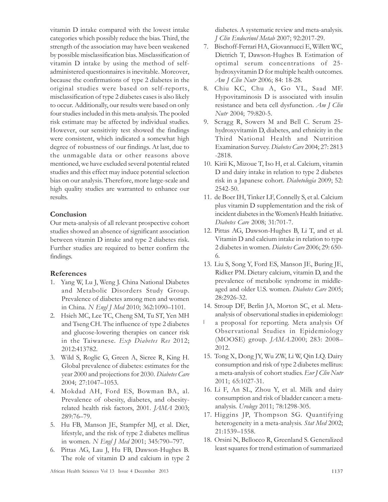vitamin D intake compared with the lowest intake categories which possibly reduce the bias. Third, the strength of the association may have been weakened by possible misclassification bias. Misclassification of vitamin D intake by using the method of selfadministered questionnaires is inevitable. Moreover, because the confirmations of type 2 diabetes in the original studies were based on self-reports, misclassification of type 2 diabetes cases is also likely to occur. Additionally, our results were based on only four studies included in this meta-analysis. The pooled risk estimate may be affected by individual studies. However, our sensitivity test showed the findings were consistent, which indicated a somewhat high degree of robustness of our findings. At last, due to the unmagable data or other reasons above mentioned, we have excluded several potential related studies and this effect may induce potential selection bias on our analysis. Therefore, more large-scale and high quality studies are warranted to enhance our results.

# Conclusion

Our meta-analysis of all relevant prospective cohort studies showed an absence of significant association between vitamin D intake and type 2 diabetes risk. Further studies are required to better confirm the findings.

### References

- 1. Yang W, Lu J, Weng J. China National Diabetes and Metabolic Disorders Study Group. Prevalence of diabetes among men and women in China. N Engl J Med 2010; 362:1090–1101.
- 2. Hsieh MC, Lee TC, Cheng SM, Tu ST, Yen MH and Tseng CH. The influence of type 2 diabetes and glucose-lowering therapies on cancer risk in the Taiwanese. Exp Diabetes Res 2012; 2012:413782.
- 3. Wild S, Roglic G, Green A, Sicree R, King H. Global prevalence of diabetes: estimates for the year 2000 and projections for 2030. Diabetes Care 2004; 27:1047–1053.
- 4. Mokdad AH, Ford ES, Bowman BA, al. Prevalence of obesity, diabetes, and obesityrelated health risk factors, 2001. JAMA 2003; 289:76–79.
- 5. Hu FB, Manson JE, Stampfer MJ, et al. Diet, lifestyle, and the risk of type 2 diabetes mellitus in women. N Engl J Med 2001; 345:790–797.
- 6. Pittas AG, Lau J, Hu FB, Dawson-Hughes B. The role of vitamin D and calcium in type 2

diabetes. A systematic review and meta-analysis. J Clin Endocrinol Metab 2007; 92:2017-29.

- 7. Bischoff-Ferrari HA, Giovannucci E, Willett WC, Dietrich T, Dawson-Hughes B. Estimation of optimal serum concentrations of 25 hydroxyvitamin D for multiple health outcomes. Am J Clin Nutr 2006; 84: 18-28.
- 8. Chiu KC, Chu A, Go VL, Saad MF. Hypovitaminosis D is associated with insulin resistance and beta cell dysfunction. Am J Clin Nutr 2004; 79:820-5.
- 9. Scragg R, Sowers M and Bell C. Serum 25 hydroxyvitamin D, diabetes, and ethnicity in the Third National Health and Nutrition Examination Survey. Diabetes Care 2004; 27: 2813 -2818.
- 10. Kirii K, Mizoue T, Iso H, et al. Calcium, vitamin D and dairy intake in relation to type 2 diabetes risk in a Japanese cohort. Diabetologia 2009; 52: 2542-50.
- 11. de Boer IH, Tinker LF, Connelly S, et al. Calcium plus vitamin D supplementation and the risk of incident diabetes in the Women's Health Initiative. Diabetes Care 2008; 31:701-7.
- 12. Pittas AG, Dawson-Hughes B, Li T, and et al. Vitamin D and calcium intake in relation to type 2 diabetes in women. Diabetes Care 2006; 29: 650- 6.
- 13. Liu S, Song Y, Ford ES, Manson JE, Buring JE, Ridker PM. Dietary calcium, vitamin D, and the prevalence of metabolic syndrome in middleaged and older U.S. women. Diabetes Care 2005; 28:2926-32.
- 14. Stroup DF, Berlin JA, Morton SC, et al. Metaanalysis of observational studies in epidemiology:
- $\overline{1}$ a proposal for reporting. Meta analysis Of Observational Studies in Epidemiology (MOOSE) group. JAMA.2000; 283: 2008– 2012.
- 15. Tong X, Dong JY, Wu ZW, Li W, Qin LQ. Dairy consumption and risk of type 2 diabetes mellitus: a meta-analysis of cohort studies. Eur J Clin Nutr 2011; 65:1027-31.
- 16. Li F, An SL, Zhou Y, et al. Milk and dairy consumption and risk of bladder cancer: a metaanalysis. Urology 2011; 78:1298-305.
- 17. Higgins JP, Thompson SG. Quantifying heterogeneity in a meta-analysis. Stat Med 2002; 21:1539–1558.
- 18. Orsini N, Bellocco R, Greenland S. Generalized least squares for trend estimation of summarized